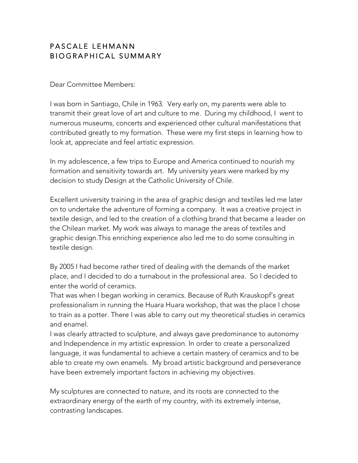#### PASCALE LEHMANN BIOGRAPHICAL SUMMARY

Dear Committee Members:

I was born in Santiago, Chile in 1963. Very early on, my parents were able to transmit their great love of art and culture to me. During my childhood, I went to numerous museums, concerts and experienced other cultural manifestations that contributed greatly to my formation. These were my first steps in learning how to look at, appreciate and feel artistic expression.

In my adolescence, a few trips to Europe and America continued to nourish my formation and sensitivity towards art. My university years were marked by my decision to study Design at the Catholic University of Chile.

Excellent university training in the area of graphic design and textiles led me later on to undertake the adventure of forming a company. It was a creative project in textile design, and led to the creation of a clothing brand that became a leader on the Chilean market. My work was always to manage the areas of textiles and graphic design.This enriching experience also led me to do some consulting in textile design.

By 2005 I had become rather tired of dealing with the demands of the market place, and I decided to do a turnabout in the professional area. So I decided to enter the world of ceramics.

That was when I began working in ceramics. Because of Ruth Krauskopf's great professionalism in running the Huara Huara workshop, that was the place I chose to train as a potter. There I was able to carry out my theoretical studies in ceramics and enamel.

I was clearly attracted to sculpture, and always gave predominance to autonomy and Independence in my artistic expression. In order to create a personalized language, it was fundamental to achieve a certain mastery of ceramics and to be able to create my own enamels. My broad artistic background and perseverance have been extremely important factors in achieving my objectives.

My sculptures are connected to nature, and its roots are connected to the extraordinary energy of the earth of my country, with its extremely intense, contrasting landscapes.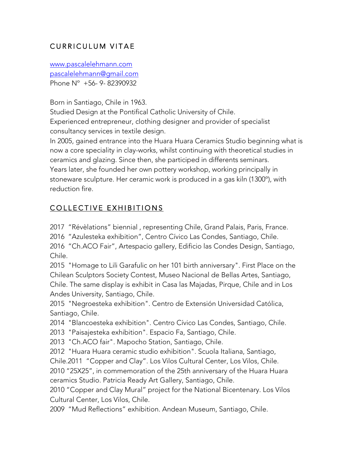# CURRICULUM VITAE

www.pascalelehmann.com pascalelehmann@gmail.com Phone Nº +56- 9- 82390932

Born in Santiago, Chile in 1963.

Studied Design at the Pontifical Catholic University of Chile. Experienced entrepreneur, clothing designer and provider of specialist consultancy services in textile design.

In 2005, gained entrance into the Huara Huara Ceramics Studio beginning what is now a core speciality in clay-works, whilst continuing with theoretical studies in ceramics and glazing. Since then, she participed in differents seminars. Years later, she founded her own pottery workshop, working principally in stoneware sculpture. Her ceramic work is produced in a gas kiln (1300º), with reduction fire.

# COLLECTIVE EXHIBITIONS

2017 "Révèlations" biennial , representing Chile, Grand Palais, Paris, France.

2016 "Azulesteka exhibition", Centro Cívico Las Condes, Santiago, Chile.

2016 "Ch.ACO Fair", Artespacio gallery, Edificio las Condes Design, Santiago, Chile.

2015 "Homage to Lili Garafulic on her 101 birth anniversary". First Place on the Chilean Sculptors Society Contest, Museo Nacional de Bellas Artes, Santiago, Chile. The same display is exhibit in Casa las Majadas, Pirque, Chile and in Los Andes University, Santiago, Chile.

2015 "Negroesteka exhibition". Centro de Extensión Universidad Católica, Santiago, Chile.

2014 "Blancoesteka exhibition". Centro Cívico Las Condes, Santiago, Chile.

2013 "Paisajesteka exhibition". Espacio Fa, Santiago, Chile.

2013 "Ch.ACO fair". Mapocho Station, Santiago, Chile.

2012 "Huara Huara ceramic studio exhibition". Scuola Italiana, Santiago,

Chile.2011 "Copper and Clay". Los Vilos Cultural Center, Los Vilos, Chile.

2010 "25X25", in commemoration of the 25th anniversary of the Huara Huara ceramics Studio. Patricia Ready Art Gallery, Santiago, Chile.

2010 "Copper and Clay Mural" project for the National Bicentenary. Los Vilos Cultural Center, Los Vilos, Chile.

2009 "Mud Reflections" exhibition. Andean Museum, Santiago, Chile.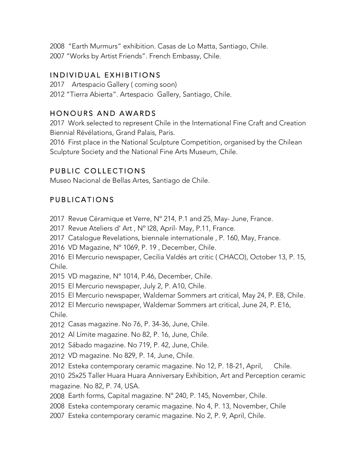2008 "Earth Murmurs" exhibition. Casas de Lo Matta, Santiago, Chile. 2007 "Works by Artist Friends". French Embassy, Chile.

### INDIVIDUAL EXHIBITIONS

2017 Artespacio Gallery ( coming soon)

2012 "Tierra Abierta". Artespacio Gallery, Santiago, Chile.

### HONOURS AND AWARDS

2017 Work selected to represent Chile in the International Fine Craft and Creation Biennial Révélations, Grand Palais, Paris.

2016 First place in the National Sculpture Competition, organised by the Chilean Sculpture Society and the National Fine Arts Museum, Chile.

# PUBLIC COLLECTIONS

Museo Nacional de Bellas Artes, Santiago de Chile.

### PUBLICATIONS

2017 Revue Céramique et Verre, Nº 214, P.1 and 25, May- June, France.

2017 Revue Ateliers d' Art , Nº I28, April- May, P.11, France.

2017 Catalogue Revelations, biennale internationale , P. 160, May, France.

2016 VD Magazine, Nº 1069, P. 19 , December, Chile.

2016 El Mercurio newspaper, Cecilia Valdés art critic ( CHACO), October 13, P. 15, Chile.

2015 VD magazine, Nº 1014, P.46, December, Chile.

2015 El Mercurio newspaper, July 2, P. A10, Chile.

2015 El Mercurio newspaper, Waldemar Sommers art critical, May 24, P. E8, Chile.

2012 El Mercurio newspaper, Waldemar Sommers art critical, June 24, P. E16, Chile.

2012 Casas magazine. No 76, P. 34-36, June, Chile.

2012 Al Límite magazine. No 82, P. 16, June, Chile.

2012 Sábado magazine. No 719, P. 42, June, Chile.

2012 VD magazine. No 829, P. 14, June, Chile.

2012 Esteka contemporary ceramic magazine. No 12, P. 18-21, April, Chile.

2010 25x25 Taller Huara Huara Anniversary Exhibition, Art and Perception ceramic magazine. No 82, P. 74, USA.

2008 Earth forms, Capital magazine. N° 240, P. 145, November, Chile.

2008 Esteka contemporary ceramic magazine. No 4, P. 13, November, Chile

2007 Esteka contemporary ceramic magazine. No 2, P. 9, April, Chile.